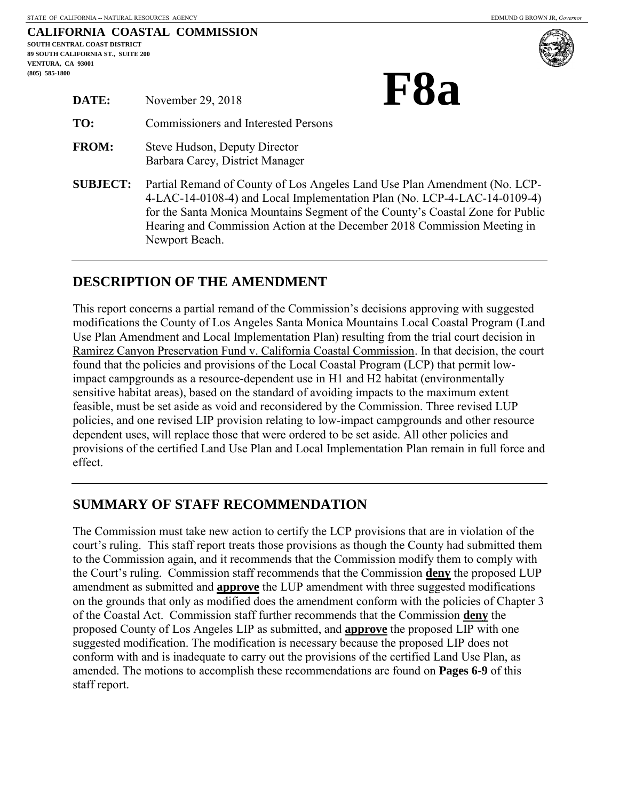|                                           |  | CALIFORNIA COASTAL COMMISSION |  |  |
|-------------------------------------------|--|-------------------------------|--|--|
| SOUTH CENTRAL COAST DISTRICT              |  |                               |  |  |
| <b>89 SOUTH CALIFORNIA ST., SUITE 200</b> |  |                               |  |  |
| VENTURA. CA 93001                         |  |                               |  |  |
| $(805)$ 585-1800                          |  |                               |  |  |
|                                           |  |                               |  |  |



| DATE:           | November 29, 2018                                                                                                                                        |
|-----------------|----------------------------------------------------------------------------------------------------------------------------------------------------------|
| TO:             | Commissioners and Interested Persons                                                                                                                     |
| <b>FROM:</b>    | Steve Hudson, Deputy Director<br>Barbara Carey, District Manager                                                                                         |
| <b>SUBJECT:</b> | Partial Remand of County of Los Angeles Lan<br>4-LAC-14-0108-4) and Local Implementation<br>$\alpha$ and $\alpha$ is the set of $\alpha$ is the $\alpha$ |

**d Use Plan Amendment (No. LCP-**Plan (No. LCP-4-LAC-14-0109-4) for the Santa Monica Mountains Segment of the County's Coastal Zone for Public Hearing and Commission Action at the December 2018 Commission Meeting in Newport Beach.

# **DESCRIPTION OF THE AMENDMENT**

This report concerns a partial remand of the Commission's decisions approving with suggested modifications the County of Los Angeles Santa Monica Mountains Local Coastal Program (Land Use Plan Amendment and Local Implementation Plan) resulting from the trial court decision in Ramirez Canyon Preservation Fund v. California Coastal Commission. In that decision, the court found that the policies and provisions of the Local Coastal Program (LCP) that permit lowimpact campgrounds as a resource-dependent use in H1 and H2 habitat (environmentally sensitive habitat areas), based on the standard of avoiding impacts to the maximum extent feasible, must be set aside as void and reconsidered by the Commission. Three revised LUP policies, and one revised LIP provision relating to low-impact campgrounds and other resource dependent uses, will replace those that were ordered to be set aside. All other policies and provisions of the certified Land Use Plan and Local Implementation Plan remain in full force and effect.

# **SUMMARY OF STAFF RECOMMENDATION**

The Commission must take new action to certify the LCP provisions that are in violation of the court's ruling. This staff report treats those provisions as though the County had submitted them to the Commission again, and it recommends that the Commission modify them to comply with the Court's ruling. Commission staff recommends that the Commission **deny** the proposed LUP amendment as submitted and **approve** the LUP amendment with three suggested modifications on the grounds that only as modified does the amendment conform with the policies of Chapter 3 of the Coastal Act. Commission staff further recommends that the Commission **deny** the proposed County of Los Angeles LIP as submitted, and **approve** the proposed LIP with one suggested modification. The modification is necessary because the proposed LIP does not conform with and is inadequate to carry out the provisions of the certified Land Use Plan, as amended. The motions to accomplish these recommendations are found on **Pages 6-9** of this staff report.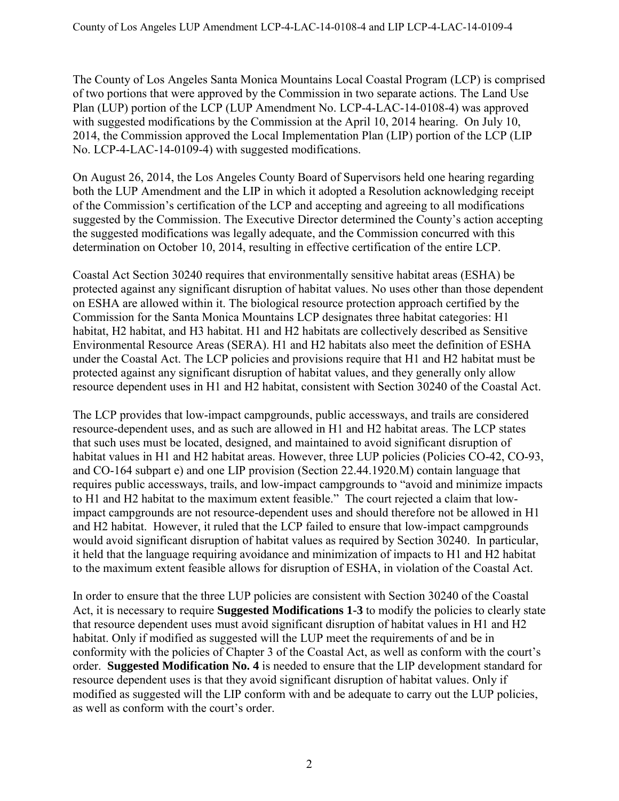The County of Los Angeles Santa Monica Mountains Local Coastal Program (LCP) is comprised of two portions that were approved by the Commission in two separate actions. The Land Use Plan (LUP) portion of the LCP (LUP Amendment No. LCP-4-LAC-14-0108-4) was approved with suggested modifications by the Commission at the April 10, 2014 hearing. On July 10, 2014, the Commission approved the Local Implementation Plan (LIP) portion of the LCP (LIP No. LCP-4-LAC-14-0109-4) with suggested modifications.

On August 26, 2014, the Los Angeles County Board of Supervisors held one hearing regarding both the LUP Amendment and the LIP in which it adopted a Resolution acknowledging receipt of the Commission's certification of the LCP and accepting and agreeing to all modifications suggested by the Commission. The Executive Director determined the County's action accepting the suggested modifications was legally adequate, and the Commission concurred with this determination on October 10, 2014, resulting in effective certification of the entire LCP.

Coastal Act Section 30240 requires that environmentally sensitive habitat areas (ESHA) be protected against any significant disruption of habitat values. No uses other than those dependent on ESHA are allowed within it. The biological resource protection approach certified by the Commission for the Santa Monica Mountains LCP designates three habitat categories: H1 habitat, H2 habitat, and H3 habitat. H1 and H2 habitats are collectively described as Sensitive Environmental Resource Areas (SERA). H1 and H2 habitats also meet the definition of ESHA under the Coastal Act. The LCP policies and provisions require that H1 and H2 habitat must be protected against any significant disruption of habitat values, and they generally only allow resource dependent uses in H1 and H2 habitat, consistent with Section 30240 of the Coastal Act.

The LCP provides that low-impact campgrounds, public accessways, and trails are considered resource-dependent uses, and as such are allowed in H1 and H2 habitat areas. The LCP states that such uses must be located, designed, and maintained to avoid significant disruption of habitat values in H1 and H2 habitat areas. However, three LUP policies (Policies CO-42, CO-93, and CO-164 subpart e) and one LIP provision (Section 22.44.1920.M) contain language that requires public accessways, trails, and low-impact campgrounds to "avoid and minimize impacts to H1 and H2 habitat to the maximum extent feasible." The court rejected a claim that lowimpact campgrounds are not resource-dependent uses and should therefore not be allowed in H1 and H2 habitat. However, it ruled that the LCP failed to ensure that low-impact campgrounds would avoid significant disruption of habitat values as required by Section 30240. In particular, it held that the language requiring avoidance and minimization of impacts to H1 and H2 habitat to the maximum extent feasible allows for disruption of ESHA, in violation of the Coastal Act.

In order to ensure that the three LUP policies are consistent with Section 30240 of the Coastal Act, it is necessary to require **Suggested Modifications 1-3** to modify the policies to clearly state that resource dependent uses must avoid significant disruption of habitat values in H1 and H2 habitat. Only if modified as suggested will the LUP meet the requirements of and be in conformity with the policies of Chapter 3 of the Coastal Act, as well as conform with the court's order. **Suggested Modification No. 4** is needed to ensure that the LIP development standard for resource dependent uses is that they avoid significant disruption of habitat values. Only if modified as suggested will the LIP conform with and be adequate to carry out the LUP policies, as well as conform with the court's order.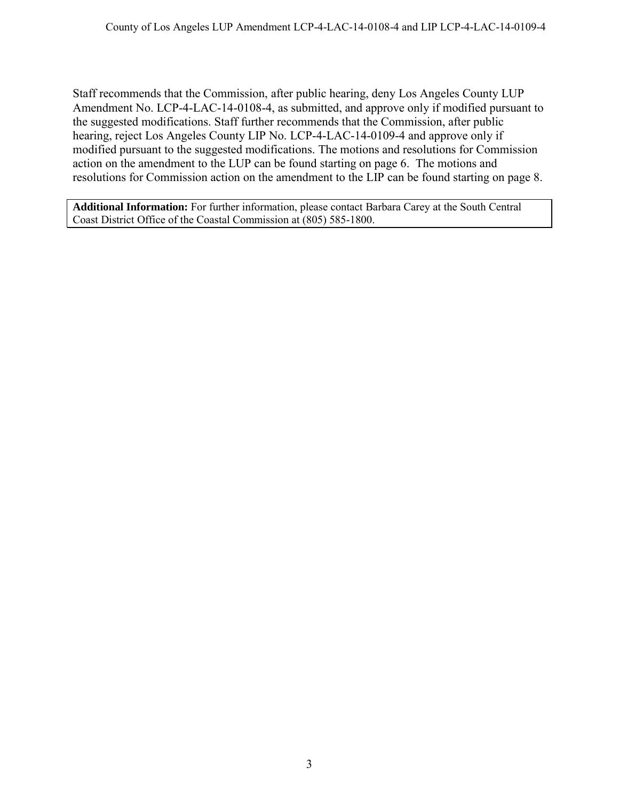Staff recommends that the Commission, after public hearing, deny Los Angeles County LUP Amendment No. LCP-4-LAC-14-0108-4, as submitted, and approve only if modified pursuant to the suggested modifications. Staff further recommends that the Commission, after public hearing, reject Los Angeles County LIP No. LCP-4-LAC-14-0109-4 and approve only if modified pursuant to the suggested modifications. The motions and resolutions for Commission action on the amendment to the LUP can be found starting on page 6. The motions and resolutions for Commission action on the amendment to the LIP can be found starting on page 8.

**Additional Information:** For further information, please contact Barbara Carey at the South Central Coast District Office of the Coastal Commission at (805) 585-1800.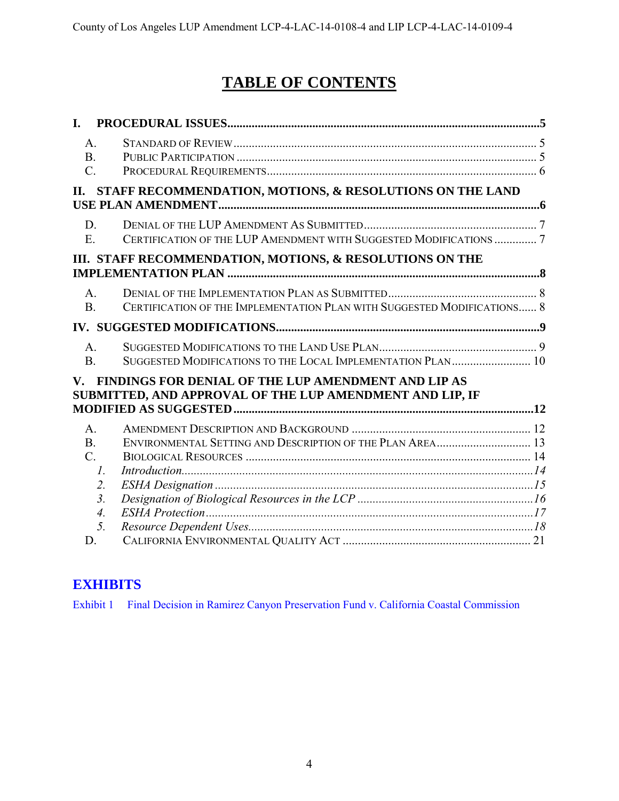# **TABLE OF CONTENTS**

| I.                                                  |                                                                                                                 |  |
|-----------------------------------------------------|-----------------------------------------------------------------------------------------------------------------|--|
| A <sub>1</sub><br>B <sub>1</sub><br>$\mathcal{C}$ . |                                                                                                                 |  |
| П.                                                  | STAFF RECOMMENDATION, MOTIONS, & RESOLUTIONS ON THE LAND                                                        |  |
| D.<br>$E_{\parallel}$                               | CERTIFICATION OF THE LUP AMENDMENT WITH SUGGESTED MODIFICATIONS  7                                              |  |
|                                                     | III. STAFF RECOMMENDATION, MOTIONS, & RESOLUTIONS ON THE                                                        |  |
| $A_{\cdot}$<br>B <sub>1</sub>                       | CERTIFICATION OF THE IMPLEMENTATION PLAN WITH SUGGESTED MODIFICATIONS 8                                         |  |
|                                                     |                                                                                                                 |  |
| A.<br>B <sub>1</sub>                                | SUGGESTED MODIFICATIONS TO THE LOCAL IMPLEMENTATION PLAN 10                                                     |  |
| $\mathbf{V}_{\cdot}$                                | FINDINGS FOR DENIAL OF THE LUP AMENDMENT AND LIP AS<br>SUBMITTED, AND APPROVAL OF THE LUP AMENDMENT AND LIP, IF |  |
| $A_{\cdot}$                                         |                                                                                                                 |  |
| B <sub>1</sub><br>$\mathcal{C}$ .                   | ENVIRONMENTAL SETTING AND DESCRIPTION OF THE PLAN AREA 13<br>$\mathcal{I}$ .                                    |  |
|                                                     | 2.                                                                                                              |  |
|                                                     | 3 <sub>1</sub><br>$\overline{4}$ .                                                                              |  |
|                                                     | 5.                                                                                                              |  |
| D.                                                  |                                                                                                                 |  |

# **[EXHIBITS](https://documents.coastal.ca.gov/reports/2018/12/F8a/F8a-12-2018-exhibits.pdf)**

[Exhibit 1 Final Decision in Ramirez Canyon Preservation Fund v. California Coastal Commission](https://documents.coastal.ca.gov/reports/2018/12/F8a/F8a-12-2018-exhibits.pdf)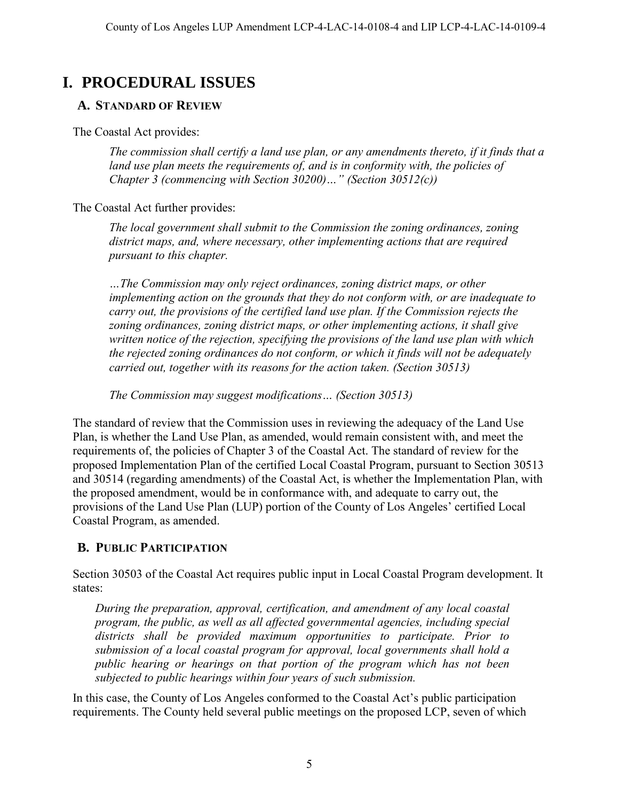# <span id="page-4-0"></span>**I. PROCEDURAL ISSUES**

## <span id="page-4-1"></span>**A. STANDARD OF REVIEW**

The Coastal Act provides:

*The commission shall certify a land use plan, or any amendments thereto, if it finds that a*  land use plan meets the requirements of, and is in conformity with, the policies of *Chapter 3 (commencing with Section 30200)…" (Section 30512(c))* 

The Coastal Act further provides:

*The local government shall submit to the Commission the zoning ordinances, zoning district maps, and, where necessary, other implementing actions that are required pursuant to this chapter.* 

*…The Commission may only reject ordinances, zoning district maps, or other implementing action on the grounds that they do not conform with, or are inadequate to carry out, the provisions of the certified land use plan. If the Commission rejects the zoning ordinances, zoning district maps, or other implementing actions, it shall give written notice of the rejection, specifying the provisions of the land use plan with which the rejected zoning ordinances do not conform, or which it finds will not be adequately carried out, together with its reasons for the action taken. (Section 30513)* 

*The Commission may suggest modifications… (Section 30513)* 

The standard of review that the Commission uses in reviewing the adequacy of the Land Use Plan, is whether the Land Use Plan, as amended, would remain consistent with, and meet the requirements of, the policies of Chapter 3 of the Coastal Act. The standard of review for the proposed Implementation Plan of the certified Local Coastal Program, pursuant to Section 30513 and 30514 (regarding amendments) of the Coastal Act, is whether the Implementation Plan, with the proposed amendment, would be in conformance with, and adequate to carry out, the provisions of the Land Use Plan (LUP) portion of the County of Los Angeles' certified Local Coastal Program, as amended.

# <span id="page-4-2"></span>**B. PUBLIC PARTICIPATION**

Section 30503 of the Coastal Act requires public input in Local Coastal Program development. It states:

*During the preparation, approval, certification, and amendment of any local coastal program, the public, as well as all affected governmental agencies, including special districts shall be provided maximum opportunities to participate. Prior to submission of a local coastal program for approval, local governments shall hold a public hearing or hearings on that portion of the program which has not been subjected to public hearings within four years of such submission.* 

In this case, the County of Los Angeles conformed to the Coastal Act's public participation requirements. The County held several public meetings on the proposed LCP, seven of which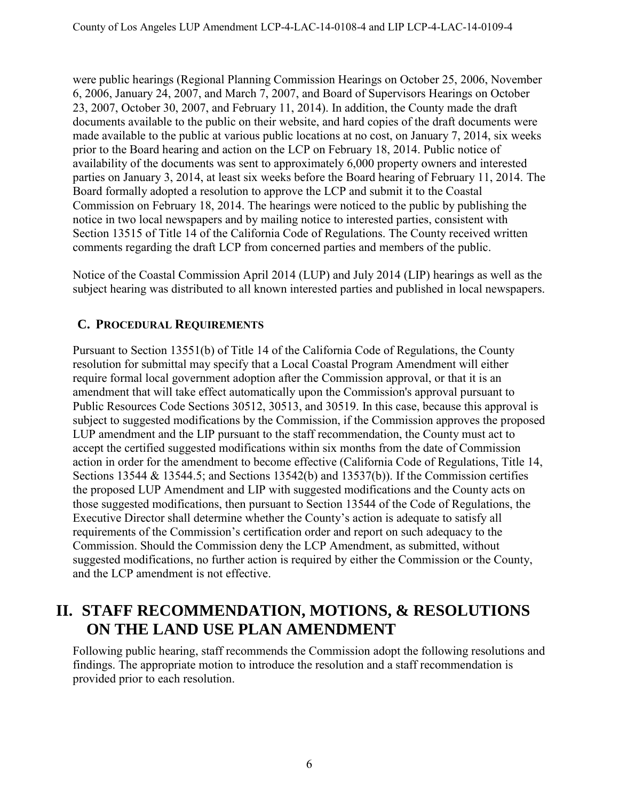were public hearings (Regional Planning Commission Hearings on October 25, 2006, November 6, 2006, January 24, 2007, and March 7, 2007, and Board of Supervisors Hearings on October 23, 2007, October 30, 2007, and February 11, 2014). In addition, the County made the draft documents available to the public on their website, and hard copies of the draft documents were made available to the public at various public locations at no cost, on January 7, 2014, six weeks prior to the Board hearing and action on the LCP on February 18, 2014. Public notice of availability of the documents was sent to approximately 6,000 property owners and interested parties on January 3, 2014, at least six weeks before the Board hearing of February 11, 2014. The Board formally adopted a resolution to approve the LCP and submit it to the Coastal Commission on February 18, 2014. The hearings were noticed to the public by publishing the notice in two local newspapers and by mailing notice to interested parties, consistent with Section 13515 of Title 14 of the California Code of Regulations. The County received written comments regarding the draft LCP from concerned parties and members of the public.

Notice of the Coastal Commission April 2014 (LUP) and July 2014 (LIP) hearings as well as the subject hearing was distributed to all known interested parties and published in local newspapers.

# <span id="page-5-0"></span>**C. PROCEDURAL REQUIREMENTS**

Pursuant to Section 13551(b) of Title 14 of the California Code of Regulations, the County resolution for submittal may specify that a Local Coastal Program Amendment will either require formal local government adoption after the Commission approval, or that it is an amendment that will take effect automatically upon the Commission's approval pursuant to Public Resources Code Sections 30512, 30513, and 30519. In this case, because this approval is subject to suggested modifications by the Commission, if the Commission approves the proposed LUP amendment and the LIP pursuant to the staff recommendation, the County must act to accept the certified suggested modifications within six months from the date of Commission action in order for the amendment to become effective (California Code of Regulations, Title 14, Sections 13544 & 13544.5; and Sections 13542(b) and 13537(b)). If the Commission certifies the proposed LUP Amendment and LIP with suggested modifications and the County acts on those suggested modifications, then pursuant to Section 13544 of the Code of Regulations, the Executive Director shall determine whether the County's action is adequate to satisfy all requirements of the Commission's certification order and report on such adequacy to the Commission. Should the Commission deny the LCP Amendment, as submitted, without suggested modifications, no further action is required by either the Commission or the County, and the LCP amendment is not effective.

# <span id="page-5-1"></span>**II. STAFF RECOMMENDATION, MOTIONS, & RESOLUTIONS ON THE LAND USE PLAN AMENDMENT**

Following public hearing, staff recommends the Commission adopt the following resolutions and findings. The appropriate motion to introduce the resolution and a staff recommendation is provided prior to each resolution.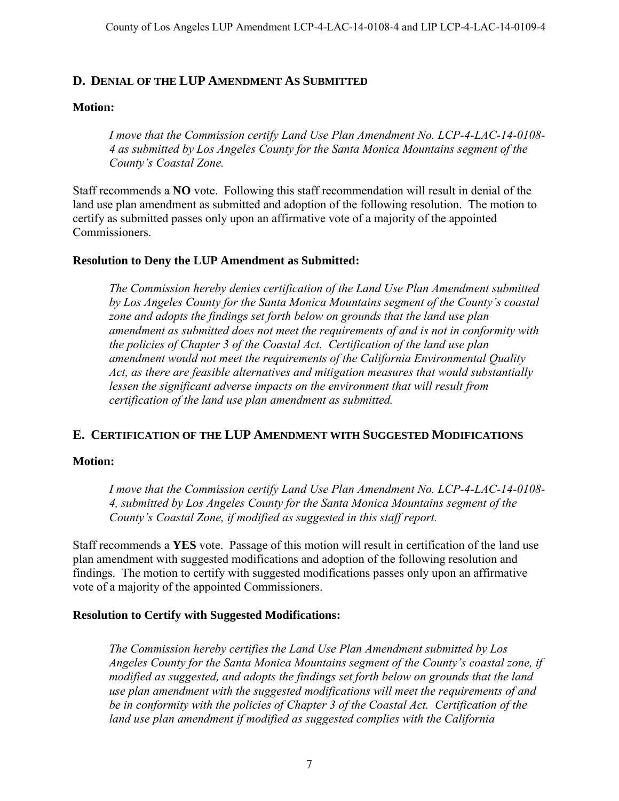### <span id="page-6-0"></span>**D. DENIAL OF THE LUP AMENDMENT AS SUBMITTED**

#### **Motion:**

*I move that the Commission certify Land Use Plan Amendment No. LCP-4-LAC-14-0108- 4 as submitted by Los Angeles County for the Santa Monica Mountains segment of the County's Coastal Zone.* 

Staff recommends a **NO** vote. Following this staff recommendation will result in denial of the land use plan amendment as submitted and adoption of the following resolution. The motion to certify as submitted passes only upon an affirmative vote of a majority of the appointed Commissioners.

#### **Resolution to Deny the LUP Amendment as Submitted:**

*The Commission hereby denies certification of the Land Use Plan Amendment submitted by Los Angeles County for the Santa Monica Mountains segment of the County's coastal zone and adopts the findings set forth below on grounds that the land use plan amendment as submitted does not meet the requirements of and is not in conformity with the policies of Chapter 3 of the Coastal Act. Certification of the land use plan amendment would not meet the requirements of the California Environmental Quality Act, as there are feasible alternatives and mitigation measures that would substantially lessen the significant adverse impacts on the environment that will result from certification of the land use plan amendment as submitted.* 

#### <span id="page-6-1"></span>**E. CERTIFICATION OF THE LUP AMENDMENT WITH SUGGESTED MODIFICATIONS**

#### **Motion:**

*I move that the Commission certify Land Use Plan Amendment No. LCP-4-LAC-14-0108- 4, submitted by Los Angeles County for the Santa Monica Mountains segment of the County's Coastal Zone, if modified as suggested in this staff report.* 

Staff recommends a **YES** vote. Passage of this motion will result in certification of the land use plan amendment with suggested modifications and adoption of the following resolution and findings. The motion to certify with suggested modifications passes only upon an affirmative vote of a majority of the appointed Commissioners.

#### **Resolution to Certify with Suggested Modifications:**

*The Commission hereby certifies the Land Use Plan Amendment submitted by Los Angeles County for the Santa Monica Mountains segment of the County's coastal zone, if modified as suggested, and adopts the findings set forth below on grounds that the land use plan amendment with the suggested modifications will meet the requirements of and be in conformity with the policies of Chapter 3 of the Coastal Act. Certification of the*  land use plan amendment if modified as suggested complies with the California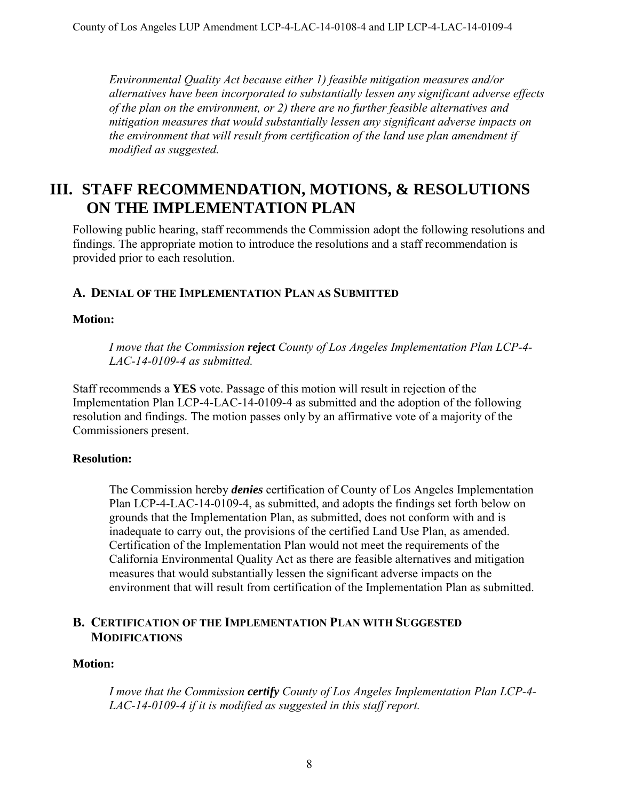*Environmental Quality Act because either 1) feasible mitigation measures and/or alternatives have been incorporated to substantially lessen any significant adverse effects of the plan on the environment, or 2) there are no further feasible alternatives and mitigation measures that would substantially lessen any significant adverse impacts on the environment that will result from certification of the land use plan amendment if modified as suggested.* 

# <span id="page-7-0"></span>**III. STAFF RECOMMENDATION, MOTIONS, & RESOLUTIONS ON THE IMPLEMENTATION PLAN**

Following public hearing, staff recommends the Commission adopt the following resolutions and findings. The appropriate motion to introduce the resolutions and a staff recommendation is provided prior to each resolution.

#### <span id="page-7-1"></span>**A. DENIAL OF THE IMPLEMENTATION PLAN AS SUBMITTED**

#### **Motion:**

*I move that the Commission reject County of Los Angeles Implementation Plan LCP-4- LAC-14-0109-4 as submitted.* 

Staff recommends a **YES** vote. Passage of this motion will result in rejection of the Implementation Plan LCP-4-LAC-14-0109-4 as submitted and the adoption of the following resolution and findings. The motion passes only by an affirmative vote of a majority of the Commissioners present.

#### **Resolution:**

The Commission hereby *denies* certification of County of Los Angeles Implementation Plan LCP-4-LAC-14-0109-4, as submitted, and adopts the findings set forth below on grounds that the Implementation Plan, as submitted, does not conform with and is inadequate to carry out, the provisions of the certified Land Use Plan, as amended. Certification of the Implementation Plan would not meet the requirements of the California Environmental Quality Act as there are feasible alternatives and mitigation measures that would substantially lessen the significant adverse impacts on the environment that will result from certification of the Implementation Plan as submitted.

### <span id="page-7-2"></span>**B. CERTIFICATION OF THE IMPLEMENTATION PLAN WITH SUGGESTED MODIFICATIONS**

#### **Motion:**

*I move that the Commission certify County of Los Angeles Implementation Plan LCP-4- LAC-14-0109-4 if it is modified as suggested in this staff report.*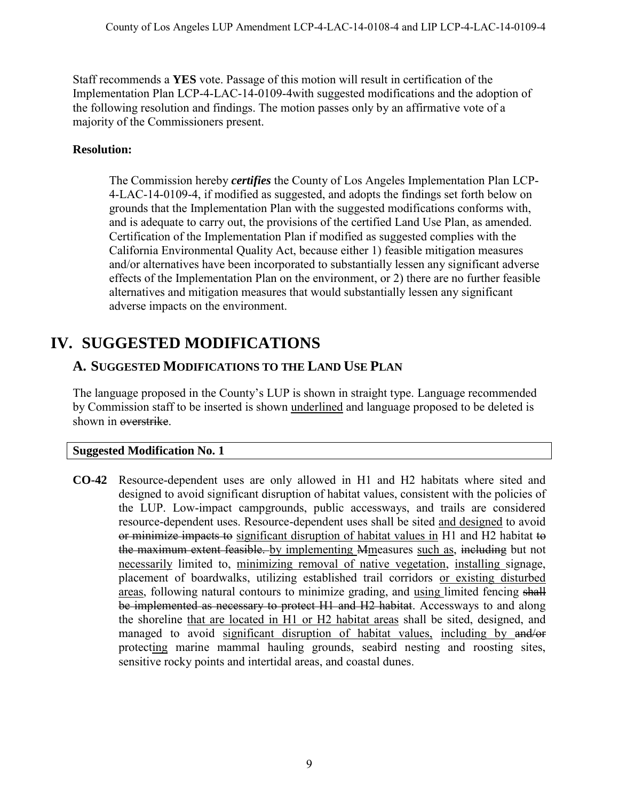Staff recommends a **YES** vote. Passage of this motion will result in certification of the Implementation Plan LCP-4-LAC-14-0109-4with suggested modifications and the adoption of the following resolution and findings. The motion passes only by an affirmative vote of a majority of the Commissioners present.

## **Resolution:**

The Commission hereby *certifies* the County of Los Angeles Implementation Plan LCP-4-LAC-14-0109-4, if modified as suggested, and adopts the findings set forth below on grounds that the Implementation Plan with the suggested modifications conforms with, and is adequate to carry out, the provisions of the certified Land Use Plan, as amended. Certification of the Implementation Plan if modified as suggested complies with the California Environmental Quality Act, because either 1) feasible mitigation measures and/or alternatives have been incorporated to substantially lessen any significant adverse effects of the Implementation Plan on the environment, or 2) there are no further feasible alternatives and mitigation measures that would substantially lessen any significant adverse impacts on the environment.

# <span id="page-8-0"></span>**IV. SUGGESTED MODIFICATIONS**

# <span id="page-8-1"></span>**A. SUGGESTED MODIFICATIONS TO THE LAND USE PLAN**

The language proposed in the County's LUP is shown in straight type. Language recommended by Commission staff to be inserted is shown underlined and language proposed to be deleted is shown in overstrike.

#### **Suggested Modification No. 1**

**CO-42** Resource-dependent uses are only allowed in H1 and H2 habitats where sited and designed to avoid significant disruption of habitat values, consistent with the policies of the LUP. Low-impact campgrounds, public accessways, and trails are considered resource-dependent uses. Resource-dependent uses shall be sited and designed to avoid or minimize impacts to significant disruption of habitat values in H1 and H2 habitat to the maximum extent feasible. by implementing Mmeasures such as, including but not necessarily limited to, minimizing removal of native vegetation, installing signage, placement of boardwalks, utilizing established trail corridors or existing disturbed areas, following natural contours to minimize grading, and using limited fencing shall be implemented as necessary to protect H1 and H2 habitat. Accessways to and along the shoreline that are located in H1 or H2 habitat areas shall be sited, designed, and managed to avoid significant disruption of habitat values, including by and/or protecting marine mammal hauling grounds, seabird nesting and roosting sites, sensitive rocky points and intertidal areas, and coastal dunes.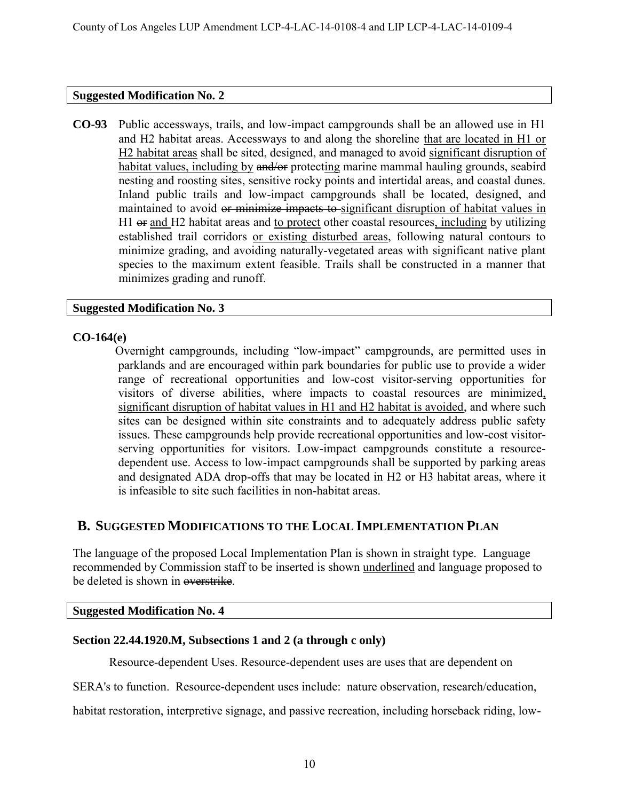#### **Suggested Modification No. 2**

**CO-93** Public accessways, trails, and low-impact campgrounds shall be an allowed use in H1 and H2 habitat areas. Accessways to and along the shoreline that are located in H1 or H2 habitat areas shall be sited, designed, and managed to avoid significant disruption of habitat values, including by and/or protecting marine mammal hauling grounds, seabird nesting and roosting sites, sensitive rocky points and intertidal areas, and coastal dunes. Inland public trails and low-impact campgrounds shall be located, designed, and maintained to avoid or minimize impacts to significant disruption of habitat values in H1  $\Theta$  and H2 habitat areas and to protect other coastal resources, including by utilizing established trail corridors or existing disturbed areas, following natural contours to minimize grading, and avoiding naturally-vegetated areas with significant native plant species to the maximum extent feasible. Trails shall be constructed in a manner that minimizes grading and runoff.

#### **Suggested Modification No. 3**

#### **CO-164(e)**

Overnight campgrounds, including "low-impact" campgrounds, are permitted uses in parklands and are encouraged within park boundaries for public use to provide a wider range of recreational opportunities and low-cost visitor-serving opportunities for visitors of diverse abilities, where impacts to coastal resources are minimized, significant disruption of habitat values in H1 and H2 habitat is avoided, and where such sites can be designed within site constraints and to adequately address public safety issues. These campgrounds help provide recreational opportunities and low-cost visitorserving opportunities for visitors. Low-impact campgrounds constitute a resourcedependent use. Access to low-impact campgrounds shall be supported by parking areas and designated ADA drop-offs that may be located in H2 or H3 habitat areas, where it is infeasible to site such facilities in non-habitat areas.

## <span id="page-9-0"></span>**B. SUGGESTED MODIFICATIONS TO THE LOCAL IMPLEMENTATION PLAN**

The language of the proposed Local Implementation Plan is shown in straight type. Language recommended by Commission staff to be inserted is shown underlined and language proposed to be deleted is shown in overstrike.

#### **Suggested Modification No. 4**

# **Section 22.44.1920.M, Subsections 1 and 2 (a through c only)**

Resource-dependent Uses. Resource-dependent uses are uses that are dependent on

SERA's to function. Resource-dependent uses include: nature observation, research/education,

habitat restoration, interpretive signage, and passive recreation, including horseback riding, low-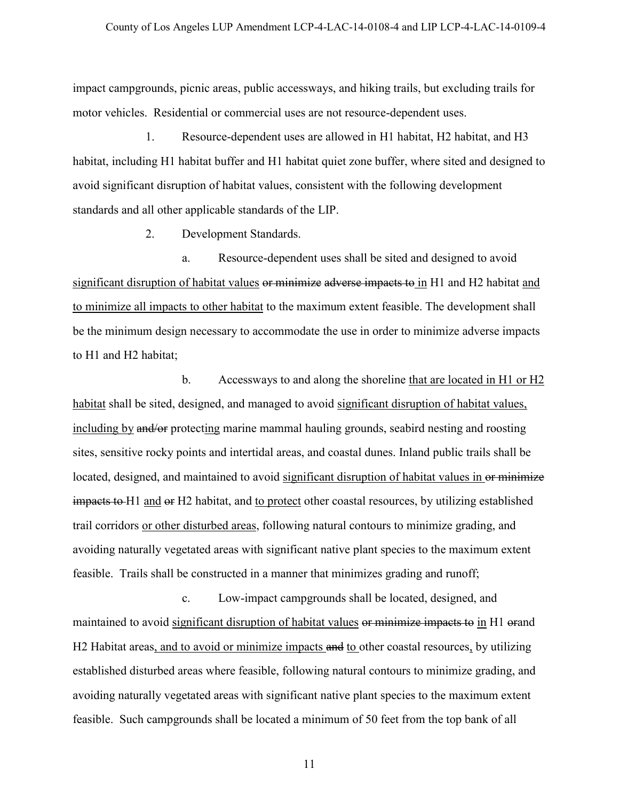impact campgrounds, picnic areas, public accessways, and hiking trails, but excluding trails for motor vehicles. Residential or commercial uses are not resource-dependent uses.

1. Resource-dependent uses are allowed in H1 habitat, H2 habitat, and H3 habitat, including H1 habitat buffer and H1 habitat quiet zone buffer, where sited and designed to avoid significant disruption of habitat values, consistent with the following development standards and all other applicable standards of the LIP.

2. Development Standards.

a. Resource-dependent uses shall be sited and designed to avoid significant disruption of habitat values or minimize adverse impacts to in H1 and H2 habitat and to minimize all impacts to other habitat to the maximum extent feasible. The development shall be the minimum design necessary to accommodate the use in order to minimize adverse impacts to H1 and H2 habitat;

b. Accessways to and along the shoreline that are located in H1 or H2 habitat shall be sited, designed, and managed to avoid significant disruption of habitat values, including by and/or protecting marine mammal hauling grounds, seabird nesting and roosting sites, sensitive rocky points and intertidal areas, and coastal dunes. Inland public trails shall be located, designed, and maintained to avoid significant disruption of habitat values in or minimize impacts to H1 and or H2 habitat, and to protect other coastal resources, by utilizing established trail corridors or other disturbed areas, following natural contours to minimize grading, and avoiding naturally vegetated areas with significant native plant species to the maximum extent feasible. Trails shall be constructed in a manner that minimizes grading and runoff;

c. Low-impact campgrounds shall be located, designed, and maintained to avoid significant disruption of habitat values or minimize impacts to in H1 orand H2 Habitat areas, and to avoid or minimize impacts and to other coastal resources, by utilizing established disturbed areas where feasible, following natural contours to minimize grading, and avoiding naturally vegetated areas with significant native plant species to the maximum extent feasible. Such campgrounds shall be located a minimum of 50 feet from the top bank of all

11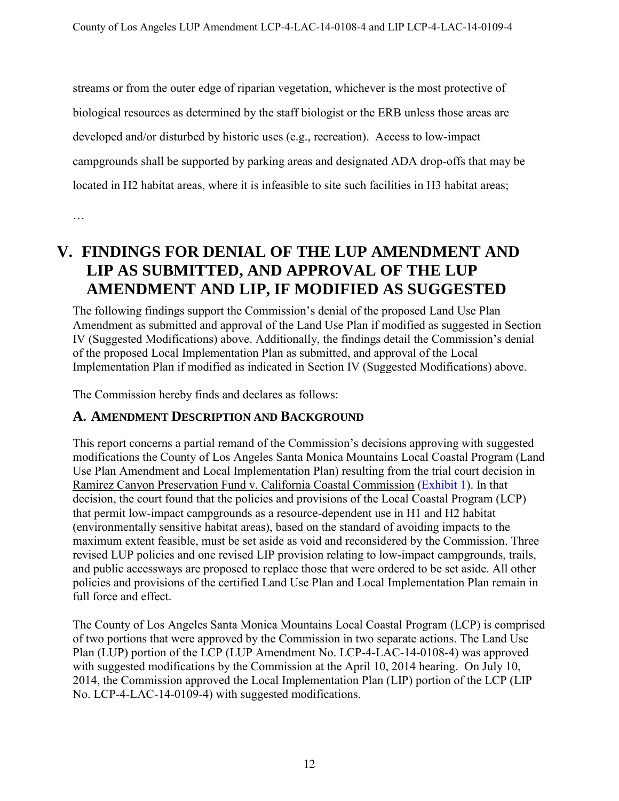streams or from the outer edge of riparian vegetation, whichever is the most protective of biological resources as determined by the staff biologist or the ERB unless those areas are developed and/or disturbed by historic uses (e.g., recreation). Access to low-impact campgrounds shall be supported by parking areas and designated ADA drop-offs that may be located in H2 habitat areas, where it is infeasible to site such facilities in H3 habitat areas;

…

# <span id="page-11-0"></span>**V. FINDINGS FOR DENIAL OF THE LUP AMENDMENT AND LIP AS SUBMITTED, AND APPROVAL OF THE LUP AMENDMENT AND LIP, IF MODIFIED AS SUGGESTED**

The following findings support the Commission's denial of the proposed Land Use Plan Amendment as submitted and approval of the Land Use Plan if modified as suggested in Section IV (Suggested Modifications) above. Additionally, the findings detail the Commission's denial of the proposed Local Implementation Plan as submitted, and approval of the Local Implementation Plan if modified as indicated in Section IV (Suggested Modifications) above.

The Commission hereby finds and declares as follows:

## <span id="page-11-1"></span>**A. AMENDMENT DESCRIPTION AND BACKGROUND**

This report concerns a partial remand of the Commission's decisions approving with suggested modifications the County of Los Angeles Santa Monica Mountains Local Coastal Program (Land Use Plan Amendment and Local Implementation Plan) resulting from the trial court decision in Ramirez Canyon Preservation Fund v. California Coastal Commission [\(Exhibit 1\)](https://documents.coastal.ca.gov/reports/2018/12/F8a/F8a-12-2018-exhibits.pdf). In that decision, the court found that the policies and provisions of the Local Coastal Program (LCP) that permit low-impact campgrounds as a resource-dependent use in H1 and H2 habitat (environmentally sensitive habitat areas), based on the standard of avoiding impacts to the maximum extent feasible, must be set aside as void and reconsidered by the Commission. Three revised LUP policies and one revised LIP provision relating to low-impact campgrounds, trails, and public accessways are proposed to replace those that were ordered to be set aside. All other policies and provisions of the certified Land Use Plan and Local Implementation Plan remain in full force and effect.

The County of Los Angeles Santa Monica Mountains Local Coastal Program (LCP) is comprised of two portions that were approved by the Commission in two separate actions. The Land Use Plan (LUP) portion of the LCP (LUP Amendment No. LCP-4-LAC-14-0108-4) was approved with suggested modifications by the Commission at the April 10, 2014 hearing. On July 10, 2014, the Commission approved the Local Implementation Plan (LIP) portion of the LCP (LIP No. LCP-4-LAC-14-0109-4) with suggested modifications.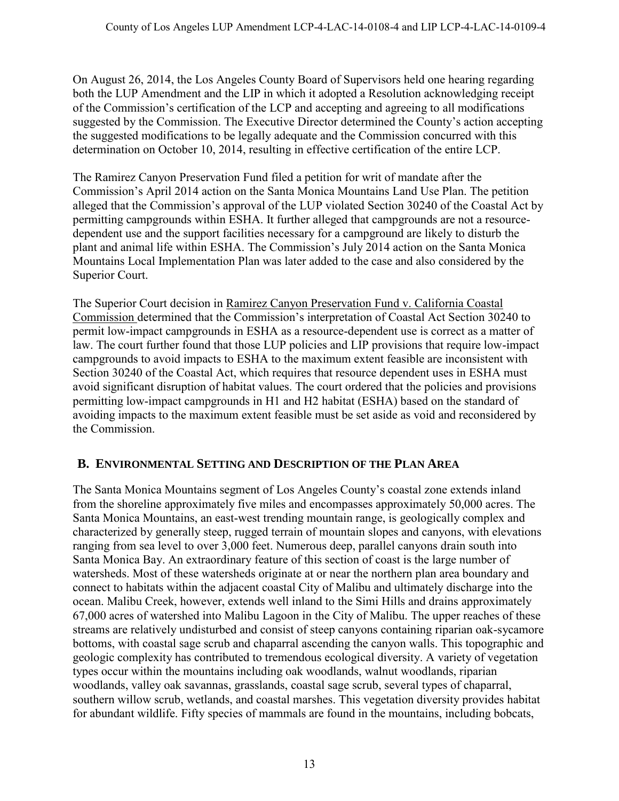On August 26, 2014, the Los Angeles County Board of Supervisors held one hearing regarding both the LUP Amendment and the LIP in which it adopted a Resolution acknowledging receipt of the Commission's certification of the LCP and accepting and agreeing to all modifications suggested by the Commission. The Executive Director determined the County's action accepting the suggested modifications to be legally adequate and the Commission concurred with this determination on October 10, 2014, resulting in effective certification of the entire LCP.

The Ramirez Canyon Preservation Fund filed a petition for writ of mandate after the Commission's April 2014 action on the Santa Monica Mountains Land Use Plan. The petition alleged that the Commission's approval of the LUP violated Section 30240 of the Coastal Act by permitting campgrounds within ESHA. It further alleged that campgrounds are not a resourcedependent use and the support facilities necessary for a campground are likely to disturb the plant and animal life within ESHA. The Commission's July 2014 action on the Santa Monica Mountains Local Implementation Plan was later added to the case and also considered by the Superior Court.

The Superior Court decision in Ramirez Canyon Preservation Fund v. California Coastal Commission determined that the Commission's interpretation of Coastal Act Section 30240 to permit low-impact campgrounds in ESHA as a resource-dependent use is correct as a matter of law. The court further found that those LUP policies and LIP provisions that require low-impact campgrounds to avoid impacts to ESHA to the maximum extent feasible are inconsistent with Section 30240 of the Coastal Act, which requires that resource dependent uses in ESHA must avoid significant disruption of habitat values. The court ordered that the policies and provisions permitting low-impact campgrounds in H1 and H2 habitat (ESHA) based on the standard of avoiding impacts to the maximum extent feasible must be set aside as void and reconsidered by the Commission.

## <span id="page-12-0"></span>**B. ENVIRONMENTAL SETTING AND DESCRIPTION OF THE PLAN AREA**

The Santa Monica Mountains segment of Los Angeles County's coastal zone extends inland from the shoreline approximately five miles and encompasses approximately 50,000 acres. The Santa Monica Mountains, an east-west trending mountain range, is geologically complex and characterized by generally steep, rugged terrain of mountain slopes and canyons, with elevations ranging from sea level to over 3,000 feet. Numerous deep, parallel canyons drain south into Santa Monica Bay. An extraordinary feature of this section of coast is the large number of watersheds. Most of these watersheds originate at or near the northern plan area boundary and connect to habitats within the adjacent coastal City of Malibu and ultimately discharge into the ocean. Malibu Creek, however, extends well inland to the Simi Hills and drains approximately 67,000 acres of watershed into Malibu Lagoon in the City of Malibu. The upper reaches of these streams are relatively undisturbed and consist of steep canyons containing riparian oak-sycamore bottoms, with coastal sage scrub and chaparral ascending the canyon walls. This topographic and geologic complexity has contributed to tremendous ecological diversity. A variety of vegetation types occur within the mountains including oak woodlands, walnut woodlands, riparian woodlands, valley oak savannas, grasslands, coastal sage scrub, several types of chaparral, southern willow scrub, wetlands, and coastal marshes. This vegetation diversity provides habitat for abundant wildlife. Fifty species of mammals are found in the mountains, including bobcats,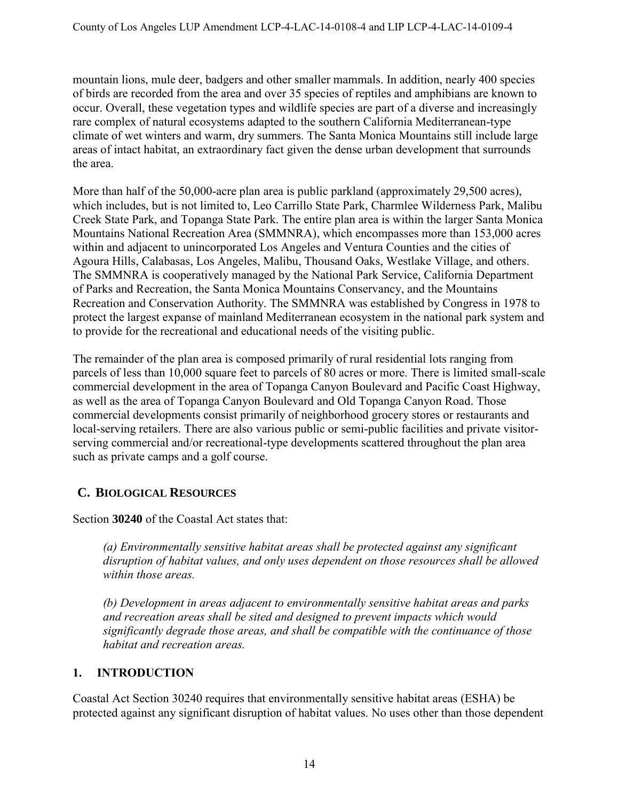mountain lions, mule deer, badgers and other smaller mammals. In addition, nearly 400 species of birds are recorded from the area and over 35 species of reptiles and amphibians are known to occur. Overall, these vegetation types and wildlife species are part of a diverse and increasingly rare complex of natural ecosystems adapted to the southern California Mediterranean-type climate of wet winters and warm, dry summers. The Santa Monica Mountains still include large areas of intact habitat, an extraordinary fact given the dense urban development that surrounds the area.

More than half of the 50,000-acre plan area is public parkland (approximately 29,500 acres), which includes, but is not limited to, Leo Carrillo State Park, Charmlee Wilderness Park, Malibu Creek State Park, and Topanga State Park. The entire plan area is within the larger Santa Monica Mountains National Recreation Area (SMMNRA), which encompasses more than 153,000 acres within and adjacent to unincorporated Los Angeles and Ventura Counties and the cities of Agoura Hills, Calabasas, Los Angeles, Malibu, Thousand Oaks, Westlake Village, and others. The SMMNRA is cooperatively managed by the National Park Service, California Department of Parks and Recreation, the Santa Monica Mountains Conservancy, and the Mountains Recreation and Conservation Authority. The SMMNRA was established by Congress in 1978 to protect the largest expanse of mainland Mediterranean ecosystem in the national park system and to provide for the recreational and educational needs of the visiting public.

The remainder of the plan area is composed primarily of rural residential lots ranging from parcels of less than 10,000 square feet to parcels of 80 acres or more. There is limited small-scale commercial development in the area of Topanga Canyon Boulevard and Pacific Coast Highway, as well as the area of Topanga Canyon Boulevard and Old Topanga Canyon Road. Those commercial developments consist primarily of neighborhood grocery stores or restaurants and local-serving retailers. There are also various public or semi-public facilities and private visitorserving commercial and/or recreational-type developments scattered throughout the plan area such as private camps and a golf course.

# <span id="page-13-0"></span>**C. BIOLOGICAL RESOURCES**

Section **30240** of the Coastal Act states that:

*(a) Environmentally sensitive habitat areas shall be protected against any significant disruption of habitat values, and only uses dependent on those resources shall be allowed within those areas.* 

*(b) Development in areas adjacent to environmentally sensitive habitat areas and parks and recreation areas shall be sited and designed to prevent impacts which would significantly degrade those areas, and shall be compatible with the continuance of those habitat and recreation areas.* 

# <span id="page-13-1"></span>**1. INTRODUCTION**

Coastal Act Section 30240 requires that environmentally sensitive habitat areas (ESHA) be protected against any significant disruption of habitat values. No uses other than those dependent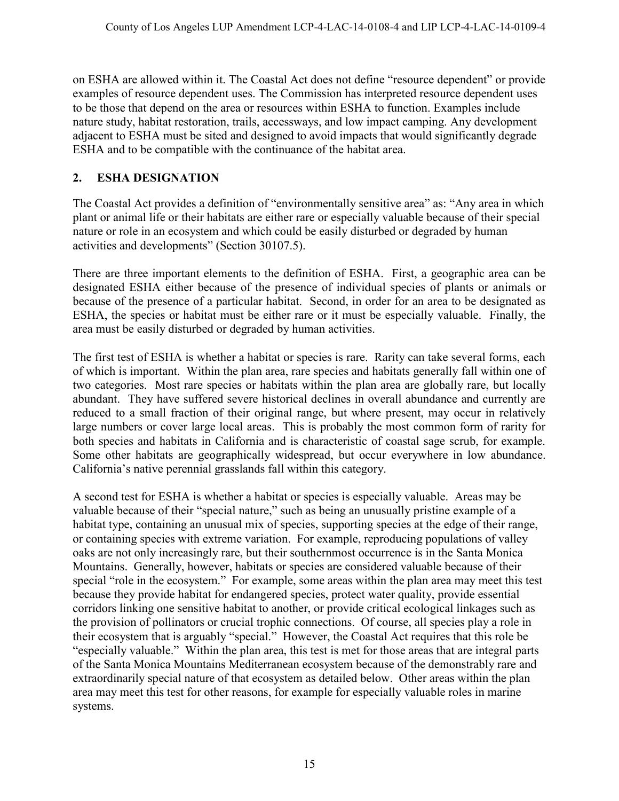on ESHA are allowed within it. The Coastal Act does not define "resource dependent" or provide examples of resource dependent uses. The Commission has interpreted resource dependent uses to be those that depend on the area or resources within ESHA to function. Examples include nature study, habitat restoration, trails, accessways, and low impact camping. Any development adjacent to ESHA must be sited and designed to avoid impacts that would significantly degrade ESHA and to be compatible with the continuance of the habitat area.

## <span id="page-14-0"></span>**2. ESHA DESIGNATION**

The Coastal Act provides a definition of "environmentally sensitive area" as: "Any area in which plant or animal life or their habitats are either rare or especially valuable because of their special nature or role in an ecosystem and which could be easily disturbed or degraded by human activities and developments" (Section 30107.5).

There are three important elements to the definition of ESHA. First, a geographic area can be designated ESHA either because of the presence of individual species of plants or animals or because of the presence of a particular habitat. Second, in order for an area to be designated as ESHA, the species or habitat must be either rare or it must be especially valuable. Finally, the area must be easily disturbed or degraded by human activities.

The first test of ESHA is whether a habitat or species is rare. Rarity can take several forms, each of which is important. Within the plan area, rare species and habitats generally fall within one of two categories. Most rare species or habitats within the plan area are globally rare, but locally abundant. They have suffered severe historical declines in overall abundance and currently are reduced to a small fraction of their original range, but where present, may occur in relatively large numbers or cover large local areas. This is probably the most common form of rarity for both species and habitats in California and is characteristic of coastal sage scrub, for example. Some other habitats are geographically widespread, but occur everywhere in low abundance. California's native perennial grasslands fall within this category.

A second test for ESHA is whether a habitat or species is especially valuable. Areas may be valuable because of their "special nature," such as being an unusually pristine example of a habitat type, containing an unusual mix of species, supporting species at the edge of their range, or containing species with extreme variation. For example, reproducing populations of valley oaks are not only increasingly rare, but their southernmost occurrence is in the Santa Monica Mountains. Generally, however, habitats or species are considered valuable because of their special "role in the ecosystem." For example, some areas within the plan area may meet this test because they provide habitat for endangered species, protect water quality, provide essential corridors linking one sensitive habitat to another, or provide critical ecological linkages such as the provision of pollinators or crucial trophic connections. Of course, all species play a role in their ecosystem that is arguably "special." However, the Coastal Act requires that this role be "especially valuable." Within the plan area, this test is met for those areas that are integral parts of the Santa Monica Mountains Mediterranean ecosystem because of the demonstrably rare and extraordinarily special nature of that ecosystem as detailed below. Other areas within the plan area may meet this test for other reasons, for example for especially valuable roles in marine systems.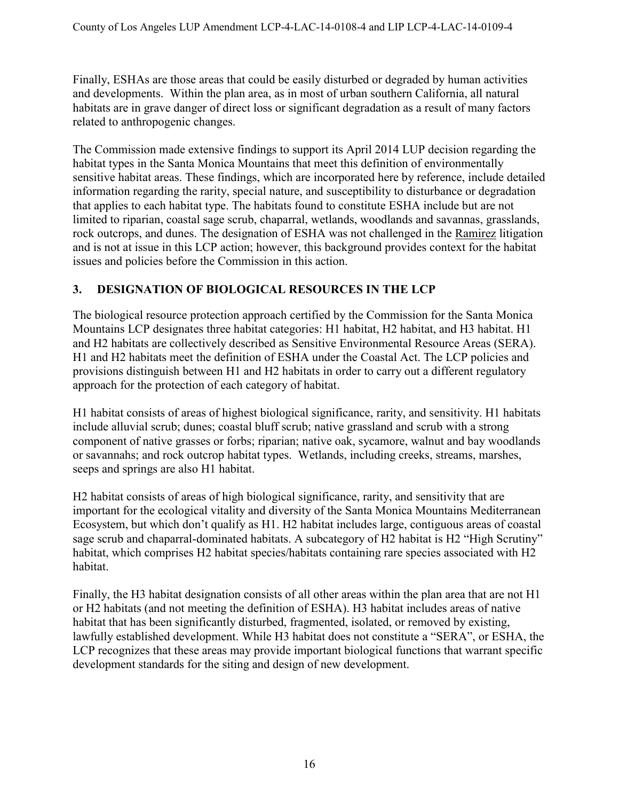Finally, ESHAs are those areas that could be easily disturbed or degraded by human activities and developments. Within the plan area, as in most of urban southern California, all natural habitats are in grave danger of direct loss or significant degradation as a result of many factors related to anthropogenic changes.

The Commission made extensive findings to support its April 2014 LUP decision regarding the habitat types in the Santa Monica Mountains that meet this definition of environmentally sensitive habitat areas. These findings, which are incorporated here by reference, include detailed information regarding the rarity, special nature, and susceptibility to disturbance or degradation that applies to each habitat type. The habitats found to constitute ESHA include but are not limited to riparian, coastal sage scrub, chaparral, wetlands, woodlands and savannas, grasslands, rock outcrops, and dunes. The designation of ESHA was not challenged in the Ramirez litigation and is not at issue in this LCP action; however, this background provides context for the habitat issues and policies before the Commission in this action.

## <span id="page-15-0"></span>**3. DESIGNATION OF BIOLOGICAL RESOURCES IN THE LCP**

The biological resource protection approach certified by the Commission for the Santa Monica Mountains LCP designates three habitat categories: H1 habitat, H2 habitat, and H3 habitat. H1 and H2 habitats are collectively described as Sensitive Environmental Resource Areas (SERA). H1 and H2 habitats meet the definition of ESHA under the Coastal Act. The LCP policies and provisions distinguish between H1 and H2 habitats in order to carry out a different regulatory approach for the protection of each category of habitat.

H1 habitat consists of areas of highest biological significance, rarity, and sensitivity. H1 habitats include alluvial scrub; dunes; coastal bluff scrub; native grassland and scrub with a strong component of native grasses or forbs; riparian; native oak, sycamore, walnut and bay woodlands or savannahs; and rock outcrop habitat types. Wetlands, including creeks, streams, marshes, seeps and springs are also H1 habitat.

H2 habitat consists of areas of high biological significance, rarity, and sensitivity that are important for the ecological vitality and diversity of the Santa Monica Mountains Mediterranean Ecosystem, but which don't qualify as H1. H2 habitat includes large, contiguous areas of coastal sage scrub and chaparral-dominated habitats. A subcategory of H2 habitat is H2 "High Scrutiny" habitat, which comprises H2 habitat species/habitats containing rare species associated with H2 habitat.

Finally, the H3 habitat designation consists of all other areas within the plan area that are not H1 or H2 habitats (and not meeting the definition of ESHA). H3 habitat includes areas of native habitat that has been significantly disturbed, fragmented, isolated, or removed by existing, lawfully established development. While H3 habitat does not constitute a "SERA", or ESHA, the LCP recognizes that these areas may provide important biological functions that warrant specific development standards for the siting and design of new development.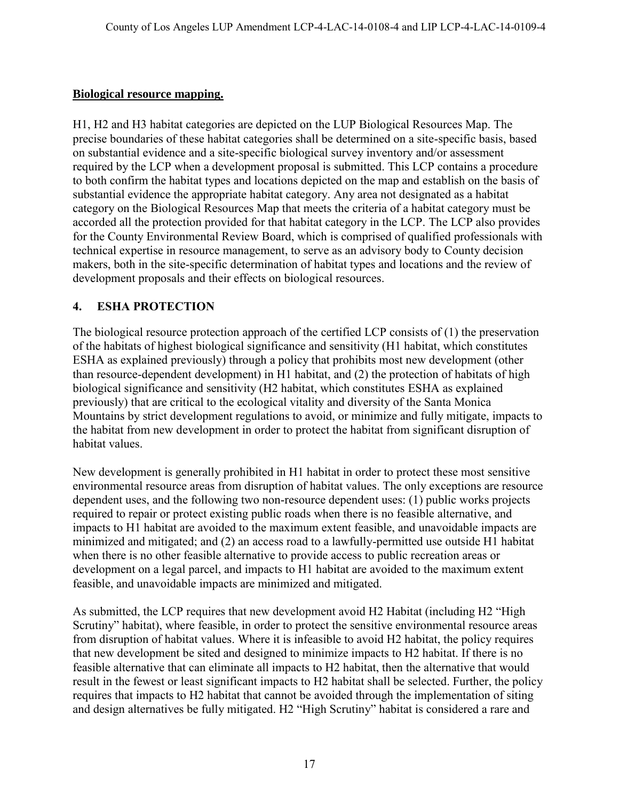### **Biological resource mapping.**

H1, H2 and H3 habitat categories are depicted on the LUP Biological Resources Map. The precise boundaries of these habitat categories shall be determined on a site-specific basis, based on substantial evidence and a site-specific biological survey inventory and/or assessment required by the LCP when a development proposal is submitted. This LCP contains a procedure to both confirm the habitat types and locations depicted on the map and establish on the basis of substantial evidence the appropriate habitat category. Any area not designated as a habitat category on the Biological Resources Map that meets the criteria of a habitat category must be accorded all the protection provided for that habitat category in the LCP. The LCP also provides for the County Environmental Review Board, which is comprised of qualified professionals with technical expertise in resource management, to serve as an advisory body to County decision makers, both in the site-specific determination of habitat types and locations and the review of development proposals and their effects on biological resources.

## <span id="page-16-0"></span>**4. ESHA PROTECTION**

The biological resource protection approach of the certified LCP consists of (1) the preservation of the habitats of highest biological significance and sensitivity (H1 habitat, which constitutes ESHA as explained previously) through a policy that prohibits most new development (other than resource-dependent development) in H1 habitat, and (2) the protection of habitats of high biological significance and sensitivity (H2 habitat, which constitutes ESHA as explained previously) that are critical to the ecological vitality and diversity of the Santa Monica Mountains by strict development regulations to avoid, or minimize and fully mitigate, impacts to the habitat from new development in order to protect the habitat from significant disruption of habitat values.

New development is generally prohibited in H1 habitat in order to protect these most sensitive environmental resource areas from disruption of habitat values. The only exceptions are resource dependent uses, and the following two non-resource dependent uses: (1) public works projects required to repair or protect existing public roads when there is no feasible alternative, and impacts to H1 habitat are avoided to the maximum extent feasible, and unavoidable impacts are minimized and mitigated; and (2) an access road to a lawfully-permitted use outside H1 habitat when there is no other feasible alternative to provide access to public recreation areas or development on a legal parcel, and impacts to H1 habitat are avoided to the maximum extent feasible, and unavoidable impacts are minimized and mitigated.

As submitted, the LCP requires that new development avoid H2 Habitat (including H2 "High Scrutiny" habitat), where feasible, in order to protect the sensitive environmental resource areas from disruption of habitat values. Where it is infeasible to avoid H2 habitat, the policy requires that new development be sited and designed to minimize impacts to H2 habitat. If there is no feasible alternative that can eliminate all impacts to H2 habitat, then the alternative that would result in the fewest or least significant impacts to H2 habitat shall be selected. Further, the policy requires that impacts to H2 habitat that cannot be avoided through the implementation of siting and design alternatives be fully mitigated. H2 "High Scrutiny" habitat is considered a rare and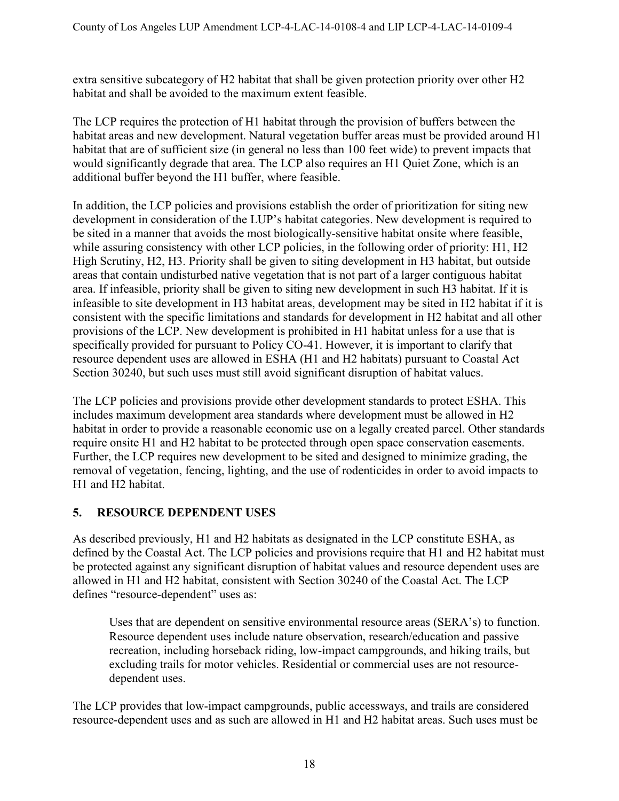extra sensitive subcategory of H2 habitat that shall be given protection priority over other H2 habitat and shall be avoided to the maximum extent feasible.

The LCP requires the protection of H1 habitat through the provision of buffers between the habitat areas and new development. Natural vegetation buffer areas must be provided around H1 habitat that are of sufficient size (in general no less than 100 feet wide) to prevent impacts that would significantly degrade that area. The LCP also requires an H1 Quiet Zone, which is an additional buffer beyond the H1 buffer, where feasible.

In addition, the LCP policies and provisions establish the order of prioritization for siting new development in consideration of the LUP's habitat categories. New development is required to be sited in a manner that avoids the most biologically-sensitive habitat onsite where feasible, while assuring consistency with other LCP policies, in the following order of priority: H1, H2 High Scrutiny, H2, H3. Priority shall be given to siting development in H3 habitat, but outside areas that contain undisturbed native vegetation that is not part of a larger contiguous habitat area. If infeasible, priority shall be given to siting new development in such H3 habitat. If it is infeasible to site development in H3 habitat areas, development may be sited in H2 habitat if it is consistent with the specific limitations and standards for development in H2 habitat and all other provisions of the LCP. New development is prohibited in H1 habitat unless for a use that is specifically provided for pursuant to Policy CO-41. However, it is important to clarify that resource dependent uses are allowed in ESHA (H1 and H2 habitats) pursuant to Coastal Act Section 30240, but such uses must still avoid significant disruption of habitat values.

The LCP policies and provisions provide other development standards to protect ESHA. This includes maximum development area standards where development must be allowed in H2 habitat in order to provide a reasonable economic use on a legally created parcel. Other standards require onsite H1 and H2 habitat to be protected through open space conservation easements. Further, the LCP requires new development to be sited and designed to minimize grading, the removal of vegetation, fencing, lighting, and the use of rodenticides in order to avoid impacts to H1 and H2 habitat.

# <span id="page-17-0"></span>**5. RESOURCE DEPENDENT USES**

As described previously, H1 and H2 habitats as designated in the LCP constitute ESHA, as defined by the Coastal Act. The LCP policies and provisions require that H1 and H2 habitat must be protected against any significant disruption of habitat values and resource dependent uses are allowed in H1 and H2 habitat, consistent with Section 30240 of the Coastal Act. The LCP defines "resource-dependent" uses as:

Uses that are dependent on sensitive environmental resource areas (SERA's) to function. Resource dependent uses include nature observation, research/education and passive recreation, including horseback riding, low-impact campgrounds, and hiking trails, but excluding trails for motor vehicles. Residential or commercial uses are not resourcedependent uses.

The LCP provides that low-impact campgrounds, public accessways, and trails are considered resource-dependent uses and as such are allowed in H1 and H2 habitat areas. Such uses must be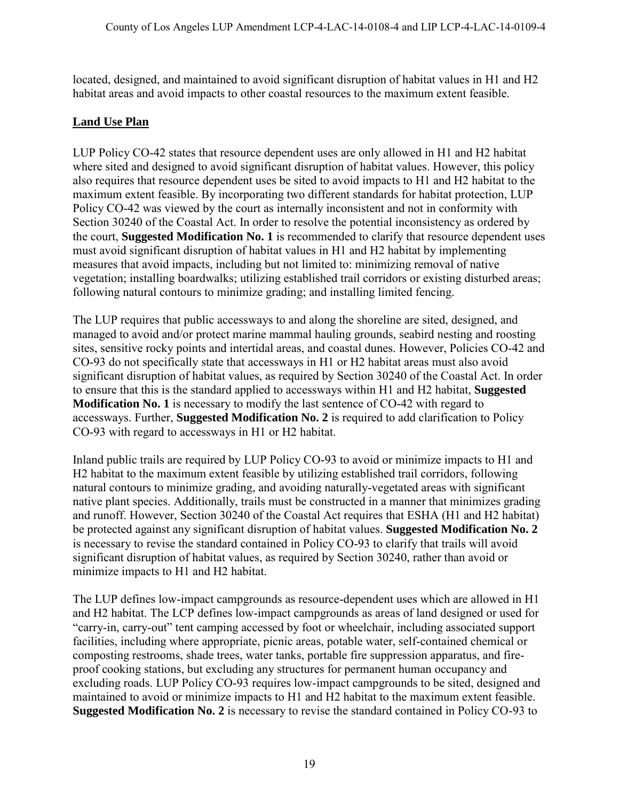located, designed, and maintained to avoid significant disruption of habitat values in H1 and H2 habitat areas and avoid impacts to other coastal resources to the maximum extent feasible.

## **Land Use Plan**

LUP Policy CO-42 states that resource dependent uses are only allowed in H1 and H2 habitat where sited and designed to avoid significant disruption of habitat values. However, this policy also requires that resource dependent uses be sited to avoid impacts to H1 and H2 habitat to the maximum extent feasible. By incorporating two different standards for habitat protection, LUP Policy CO-42 was viewed by the court as internally inconsistent and not in conformity with Section 30240 of the Coastal Act. In order to resolve the potential inconsistency as ordered by the court, **Suggested Modification No. 1** is recommended to clarify that resource dependent uses must avoid significant disruption of habitat values in H1 and H2 habitat by implementing measures that avoid impacts, including but not limited to: minimizing removal of native vegetation; installing boardwalks; utilizing established trail corridors or existing disturbed areas; following natural contours to minimize grading; and installing limited fencing.

The LUP requires that public accessways to and along the shoreline are sited, designed, and managed to avoid and/or protect marine mammal hauling grounds, seabird nesting and roosting sites, sensitive rocky points and intertidal areas, and coastal dunes. However, Policies CO-42 and CO-93 do not specifically state that accessways in H1 or H2 habitat areas must also avoid significant disruption of habitat values, as required by Section 30240 of the Coastal Act. In order to ensure that this is the standard applied to accessways within H1 and H2 habitat, **Suggested Modification No. 1** is necessary to modify the last sentence of CO-42 with regard to accessways. Further, **Suggested Modification No. 2** is required to add clarification to Policy CO-93 with regard to accessways in H1 or H2 habitat.

Inland public trails are required by LUP Policy CO-93 to avoid or minimize impacts to H1 and H2 habitat to the maximum extent feasible by utilizing established trail corridors, following natural contours to minimize grading, and avoiding naturally-vegetated areas with significant native plant species. Additionally, trails must be constructed in a manner that minimizes grading and runoff. However, Section 30240 of the Coastal Act requires that ESHA (H1 and H2 habitat) be protected against any significant disruption of habitat values. **Suggested Modification No. 2** is necessary to revise the standard contained in Policy CO-93 to clarify that trails will avoid significant disruption of habitat values, as required by Section 30240, rather than avoid or minimize impacts to H1 and H2 habitat.

The LUP defines low-impact campgrounds as resource-dependent uses which are allowed in H1 and H2 habitat. The LCP defines low-impact campgrounds as areas of land designed or used for "carry-in, carry-out" tent camping accessed by foot or wheelchair, including associated support facilities, including where appropriate, picnic areas, potable water, self-contained chemical or composting restrooms, shade trees, water tanks, portable fire suppression apparatus, and fireproof cooking stations, but excluding any structures for permanent human occupancy and excluding roads. LUP Policy CO-93 requires low-impact campgrounds to be sited, designed and maintained to avoid or minimize impacts to H1 and H2 habitat to the maximum extent feasible. **Suggested Modification No. 2** is necessary to revise the standard contained in Policy CO-93 to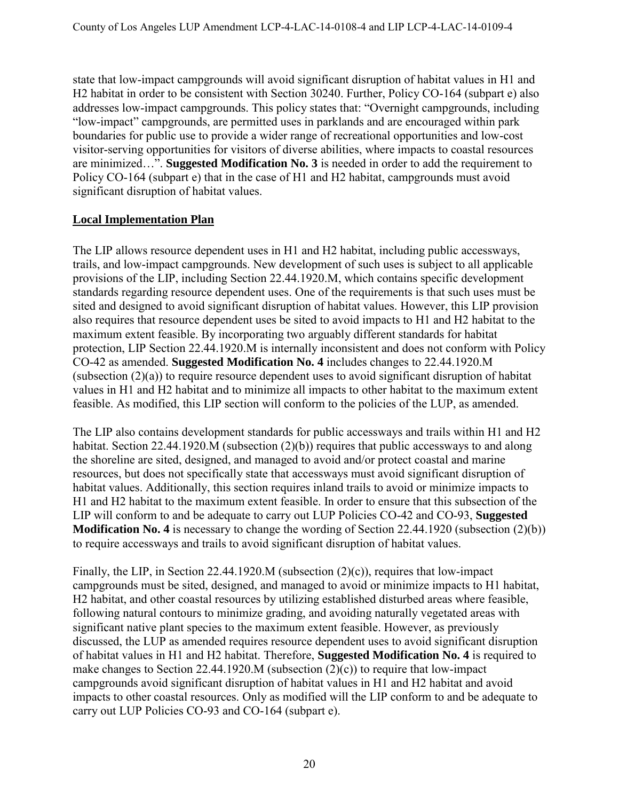state that low-impact campgrounds will avoid significant disruption of habitat values in H1 and H2 habitat in order to be consistent with Section 30240. Further, Policy CO-164 (subpart e) also addresses low-impact campgrounds. This policy states that: "Overnight campgrounds, including "low-impact" campgrounds, are permitted uses in parklands and are encouraged within park boundaries for public use to provide a wider range of recreational opportunities and low-cost visitor-serving opportunities for visitors of diverse abilities, where impacts to coastal resources are minimized…". **Suggested Modification No. 3** is needed in order to add the requirement to Policy CO-164 (subpart e) that in the case of H1 and H2 habitat, campgrounds must avoid significant disruption of habitat values.

## **Local Implementation Plan**

The LIP allows resource dependent uses in H1 and H2 habitat, including public accessways, trails, and low-impact campgrounds. New development of such uses is subject to all applicable provisions of the LIP, including Section 22.44.1920.M, which contains specific development standards regarding resource dependent uses. One of the requirements is that such uses must be sited and designed to avoid significant disruption of habitat values. However, this LIP provision also requires that resource dependent uses be sited to avoid impacts to H1 and H2 habitat to the maximum extent feasible. By incorporating two arguably different standards for habitat protection, LIP Section 22.44.1920.M is internally inconsistent and does not conform with Policy CO-42 as amended. **Suggested Modification No. 4** includes changes to 22.44.1920.M (subsection (2)(a)) to require resource dependent uses to avoid significant disruption of habitat values in H1 and H2 habitat and to minimize all impacts to other habitat to the maximum extent feasible. As modified, this LIP section will conform to the policies of the LUP, as amended.

The LIP also contains development standards for public accessways and trails within H1 and H2 habitat. Section 22.44.1920.M (subsection (2)(b)) requires that public accessways to and along the shoreline are sited, designed, and managed to avoid and/or protect coastal and marine resources, but does not specifically state that accessways must avoid significant disruption of habitat values. Additionally, this section requires inland trails to avoid or minimize impacts to H1 and H2 habitat to the maximum extent feasible. In order to ensure that this subsection of the LIP will conform to and be adequate to carry out LUP Policies CO-42 and CO-93, **Suggested Modification No. 4** is necessary to change the wording of Section 22.44.1920 (subsection (2)(b)) to require accessways and trails to avoid significant disruption of habitat values.

Finally, the LIP, in Section 22.44.1920.M (subsection (2)(c)), requires that low-impact campgrounds must be sited, designed, and managed to avoid or minimize impacts to H1 habitat, H2 habitat, and other coastal resources by utilizing established disturbed areas where feasible, following natural contours to minimize grading, and avoiding naturally vegetated areas with significant native plant species to the maximum extent feasible. However, as previously discussed, the LUP as amended requires resource dependent uses to avoid significant disruption of habitat values in H1 and H2 habitat. Therefore, **Suggested Modification No. 4** is required to make changes to Section 22.44.1920.M (subsection (2)(c)) to require that low-impact campgrounds avoid significant disruption of habitat values in H1 and H2 habitat and avoid impacts to other coastal resources. Only as modified will the LIP conform to and be adequate to carry out LUP Policies CO-93 and CO-164 (subpart e).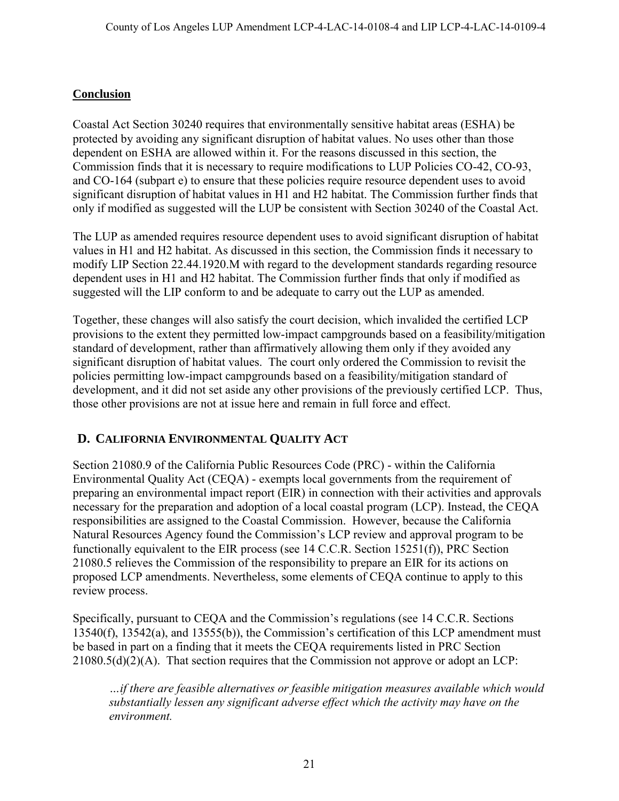## **Conclusion**

Coastal Act Section 30240 requires that environmentally sensitive habitat areas (ESHA) be protected by avoiding any significant disruption of habitat values. No uses other than those dependent on ESHA are allowed within it. For the reasons discussed in this section, the Commission finds that it is necessary to require modifications to LUP Policies CO-42, CO-93, and CO-164 (subpart e) to ensure that these policies require resource dependent uses to avoid significant disruption of habitat values in H1 and H2 habitat. The Commission further finds that only if modified as suggested will the LUP be consistent with Section 30240 of the Coastal Act.

The LUP as amended requires resource dependent uses to avoid significant disruption of habitat values in H1 and H2 habitat. As discussed in this section, the Commission finds it necessary to modify LIP Section 22.44.1920.M with regard to the development standards regarding resource dependent uses in H1 and H2 habitat. The Commission further finds that only if modified as suggested will the LIP conform to and be adequate to carry out the LUP as amended.

Together, these changes will also satisfy the court decision, which invalided the certified LCP provisions to the extent they permitted low-impact campgrounds based on a feasibility/mitigation standard of development, rather than affirmatively allowing them only if they avoided any significant disruption of habitat values. The court only ordered the Commission to revisit the policies permitting low-impact campgrounds based on a feasibility/mitigation standard of development, and it did not set aside any other provisions of the previously certified LCP. Thus, those other provisions are not at issue here and remain in full force and effect.

# <span id="page-20-0"></span>**D. CALIFORNIA ENVIRONMENTAL QUALITY ACT**

Section 21080.9 of the California Public Resources Code (PRC) - within the California Environmental Quality Act (CEQA) - exempts local governments from the requirement of preparing an environmental impact report (EIR) in connection with their activities and approvals necessary for the preparation and adoption of a local coastal program (LCP). Instead, the CEQA responsibilities are assigned to the Coastal Commission. However, because the California Natural Resources Agency found the Commission's LCP review and approval program to be functionally equivalent to the EIR process (see 14 C.C.R. Section 15251(f)), PRC Section 21080.5 relieves the Commission of the responsibility to prepare an EIR for its actions on proposed LCP amendments. Nevertheless, some elements of CEQA continue to apply to this review process.

Specifically, pursuant to CEQA and the Commission's regulations (see 14 C.C.R. Sections 13540(f), 13542(a), and 13555(b)), the Commission's certification of this LCP amendment must be based in part on a finding that it meets the CEQA requirements listed in PRC Section 21080.5(d)(2)(A). That section requires that the Commission not approve or adopt an LCP:

*…if there are feasible alternatives or feasible mitigation measures available which would substantially lessen any significant adverse effect which the activity may have on the environment.*